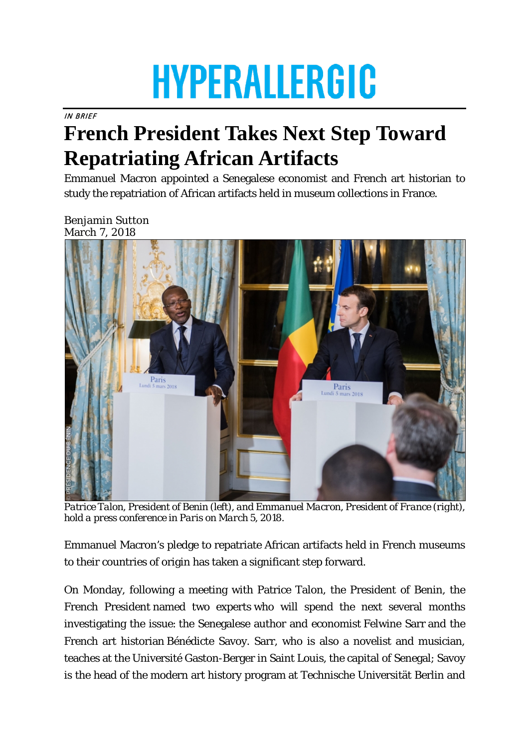## **HYPERALLERGIC**

IN BRIEF

## **French President Takes Next Step Toward Repatriating African Artifacts**

Emmanuel Macron appointed a Senegalese economist and French art historian to study the repatriation of African artifacts held in museum collections in France.

Benjamin Sutton March 7, 2018



*Patrice Talon, President of Benin (left), and Emmanuel Macron, President of France (right), hold a press conference in Paris on March 5, 2018.* 

Emmanuel Macron's pledge to repatriate African artifacts held in French museums to their countries of origin has taken a significant step forward.

On Monday, following a meeting with Patrice Talon, the President of Benin, the French President named two experts who will spend the next several months investigating the issue: the Senegalese author and economist Felwine Sarr and the French art historian Bénédicte Savoy. Sarr, who is also a novelist and musician, teaches at the Université Gaston-Berger in Saint Louis, the capital of Senegal; Savoy is the head of the modern art history program at Technische Universität Berlin and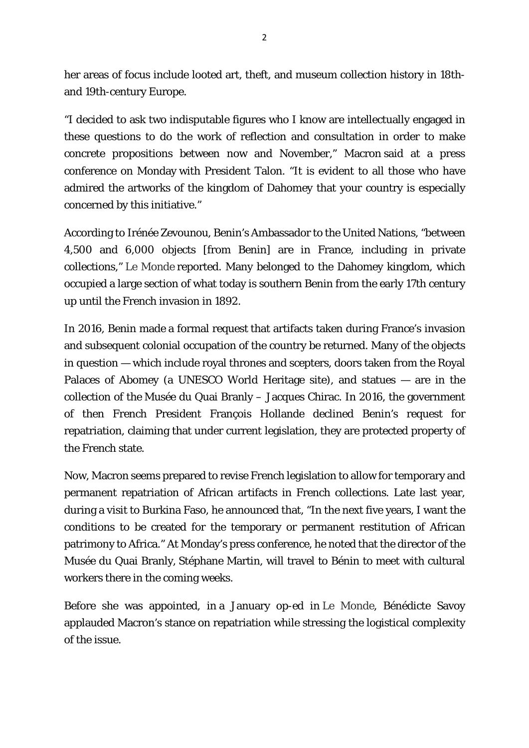her areas of focus include looted art, theft, and museum collection history in 18thand 19th-century Europe.

"I decided to ask two indisputable figures who I know are intellectually engaged in these questions to do the work of reflection and consultation in order to make concrete propositions between now and November," Macron said at a press conference on Monday with President Talon. "It is evident to all those who have admired the artworks of the kingdom of Dahomey that your country is especially concerned by this initiative."

According to Irénée Zevounou, Benin's Ambassador to the United Nations, "between 4,500 and 6,000 objects [from Benin] are in France, including in private collections," *[Le Monde](http://www.lemonde.fr/afrique/article/2018/03/06/le-president-macron-nomme-deux-experts-pour-la-restitution-du-patrimoine-africain_5266244_3212.html)* reported. Many belonged to the Dahomey kingdom, which occupied a large section of what today is southern Benin from the early 17th century up until the French invasion in 1892.

In 2016, Benin made a formal request that artifacts taken during France's invasion and subsequent colonial occupation of the country be returned. Many of the objects in question — which include royal thrones and scepters, doors taken from the Royal Palaces of Abomey (a UNESCO World Heritage site), and statues — are in the collection of the Musée du Quai Branly – Jacques Chirac. In 2016, the government of then French President François Hollande declined Benin's request for repatriation, claiming that under current legislation, they are protected property of the French state.

Now, Macron seems prepared to revise French legislation to allow for temporary and permanent repatriation of African artifacts in French collections. Late last year, during a visit to Burkina Faso, he announced that, "In the next five years, I want the conditions to be created for the temporary or permanent restitution of African patrimony to Africa." At Monday's press conference, he noted that the director of the Musée du Quai Branly, Stéphane Martin, will travel to Bénin to meet with cultural workers there in the coming weeks.

Before she was appointed, in a January op-ed in *Le Monde*, Bénédicte Savoy applauded Macron's stance on repatriation while stressing the logistical complexity of the issue.